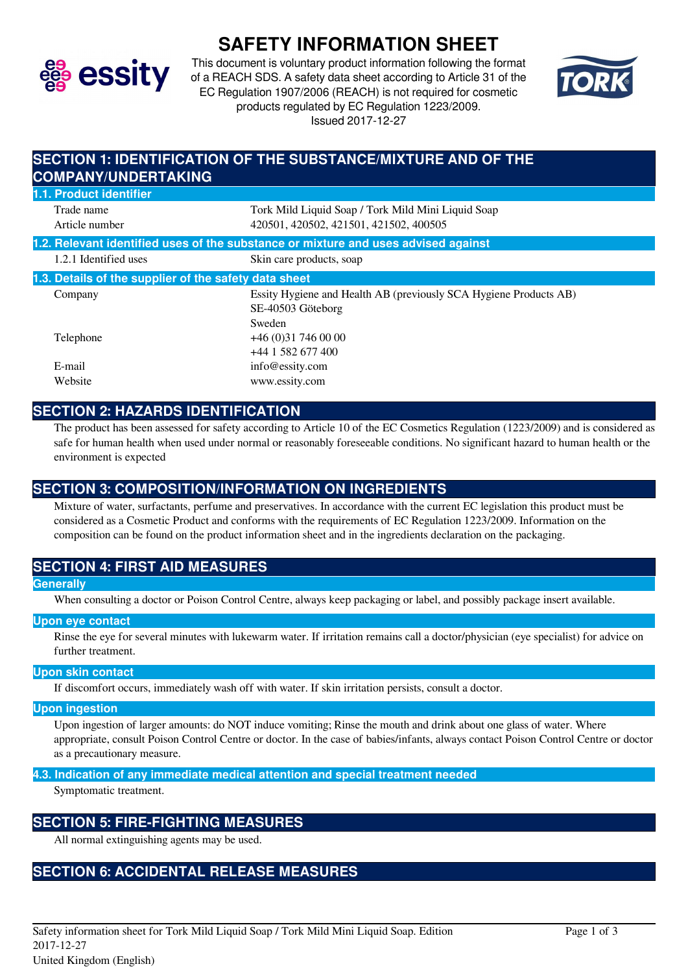

# **SAFETY INFORMATION SHEET**

This document is voluntary product information following the format of a REACH SDS. A safety data sheet according to Article 31 of the EC Regulation 1907/2006 (REACH) is not required for cosmetic products regulated by EC Regulation 1223/2009. Issued 2017-12-27



# **SECTION 1: IDENTIFICATION OF THE SUBSTANCE/MIXTURE AND OF THE COMPANY/UNDERTAKING 1.1. Product identifier** Trade name Tork Mild Liquid Soap / Tork Mild Mini Liquid Soap Article number 420501, 420502, 421501, 421502, 400505 **1.2. Relevant identified uses of the substance or mixture and uses advised against** 1.2.1 Identified uses Skin care products, soap **1.3. Details of the supplier of the safety data sheet** Company Essity Hygiene and Health AB (previously SCA Hygiene Products AB) SE-40503 Göteborg Sweden Telephone +46 (0)31 746 00 00 +44 1 582 677 400 E-mail info@essity.com Website www.essity.com

### **SECTION 2: HAZARDS IDENTIFICATION**

The product has been assessed for safety according to Article 10 of the EC Cosmetics Regulation (1223/2009) and is considered as safe for human health when used under normal or reasonably foreseeable conditions. No significant hazard to human health or the environment is expected

# **SECTION 3: COMPOSITION/INFORMATION ON INGREDIENTS**

Mixture of water, surfactants, perfume and preservatives. In accordance with the current EC legislation this product must be considered as a Cosmetic Product and conforms with the requirements of EC Regulation 1223/2009. Information on the composition can be found on the product information sheet and in the ingredients declaration on the packaging.

### **SECTION 4: FIRST AID MEASURES**

### **Generally**

When consulting a doctor or Poison Control Centre, always keep packaging or label, and possibly package insert available.

### **Upon eye contact**

Rinse the eye for several minutes with lukewarm water. If irritation remains call a doctor/physician (eye specialist) for advice on further treatment.

### **Upon skin contact**

If discomfort occurs, immediately wash off with water. If skin irritation persists, consult a doctor.

#### **Upon ingestion**

Upon ingestion of larger amounts: do NOT induce vomiting; Rinse the mouth and drink about one glass of water. Where appropriate, consult Poison Control Centre or doctor. In the case of babies/infants, always contact Poison Control Centre or doctor as a precautionary measure.

### **4.3. Indication of any immediate medical attention and special treatment needed**

Symptomatic treatment.

### **SECTION 5: FIRE-FIGHTING MEASURES**

All normal extinguishing agents may be used.

### **SECTION 6: ACCIDENTAL RELEASE MEASURES**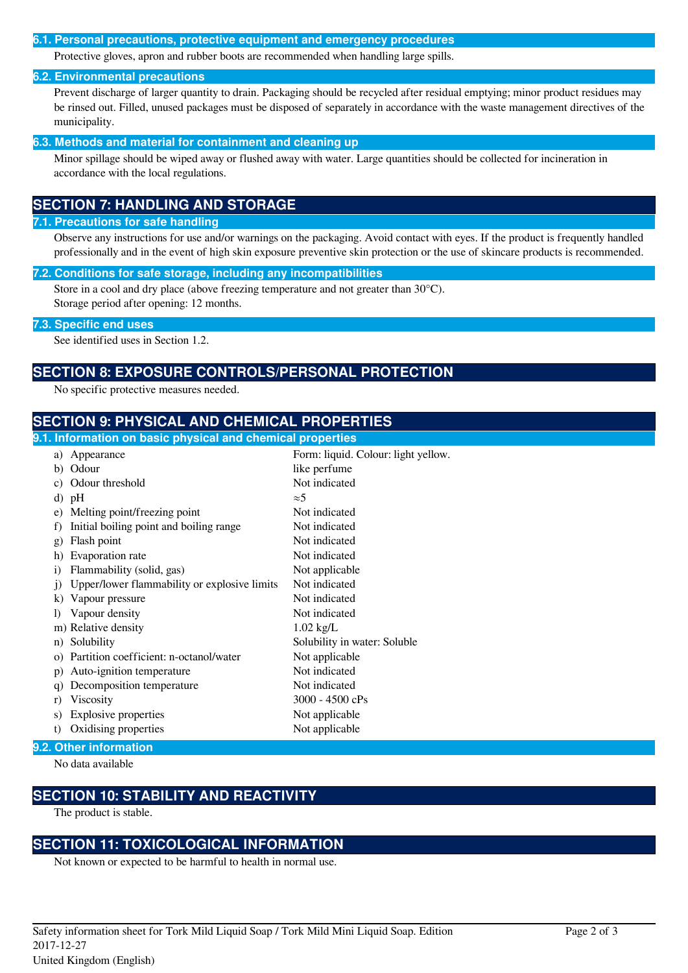### **6.1. Personal precautions, protective equipment and emergency procedures**

Protective gloves, apron and rubber boots are recommended when handling large spills.

### **6.2. Environmental precautions**

Prevent discharge of larger quantity to drain. Packaging should be recycled after residual emptying; minor product residues may be rinsed out. Filled, unused packages must be disposed of separately in accordance with the waste management directives of the municipality.

### **6.3. Methods and material for containment and cleaning up**

Minor spillage should be wiped away or flushed away with water. Large quantities should be collected for incineration in accordance with the local regulations.

# **SECTION 7: HANDLING AND STORAGE**

### **7.1. Precautions for safe handling**

Observe any instructions for use and/or warnings on the packaging. Avoid contact with eyes. If the product is frequently handled professionally and in the event of high skin exposure preventive skin protection or the use of skincare products is recommended.

#### **7.2. Conditions for safe storage, including any incompatibilities**

Store in a cool and dry place (above freezing temperature and not greater than 30°C). Storage period after opening: 12 months.

### **7.3. Specific end uses**

See identified uses in Section 1.2.

### **SECTION 8: EXPOSURE CONTROLS/PERSONAL PROTECTION**

No specific protective measures needed.

### **SECTION 9: PHYSICAL AND CHEMICAL PROPERTIES**

| 9.1. Information on basic physical and chemical properties |                                              |                                     |  |
|------------------------------------------------------------|----------------------------------------------|-------------------------------------|--|
| a)                                                         | Appearance                                   | Form: liquid. Colour: light yellow. |  |
| b)                                                         | Odour                                        | like perfume                        |  |
| C)                                                         | Odour threshold                              | Not indicated                       |  |
|                                                            | d) pH                                        | $\approx$ 5                         |  |
| e)                                                         | Melting point/freezing point                 | Not indicated                       |  |
| f)                                                         | Initial boiling point and boiling range      | Not indicated                       |  |
| $\mathbf{g}$                                               | Flash point                                  | Not indicated                       |  |
| h)                                                         | Evaporation rate                             | Not indicated                       |  |
| $\mathbf{i}$                                               | Flammability (solid, gas)                    | Not applicable                      |  |
| $\mathbf{j}$                                               | Upper/lower flammability or explosive limits | Not indicated                       |  |
| $\bf k$                                                    | Vapour pressure                              | Not indicated                       |  |
| $\bf{D}$                                                   | Vapour density                               | Not indicated                       |  |
|                                                            | m) Relative density                          | $1.02$ kg/L                         |  |
| n)                                                         | Solubility                                   | Solubility in water: Soluble        |  |
| $\Omega$ )                                                 | Partition coefficient: n-octanol/water       | Not applicable                      |  |
| p)                                                         | Auto-ignition temperature                    | Not indicated                       |  |
| q)                                                         | Decomposition temperature                    | Not indicated                       |  |
| r)                                                         | Viscosity                                    | $3000 - 4500$ cPs                   |  |
| s)                                                         | <b>Explosive properties</b>                  | Not applicable                      |  |
| t)                                                         | Oxidising properties                         | Not applicable                      |  |

### **9.2. Other information**

No data available

# **SECTION 10: STABILITY AND REACTIVITY**

The product is stable.

### **SECTION 11: TOXICOLOGICAL INFORMATION**

Not known or expected to be harmful to health in normal use.